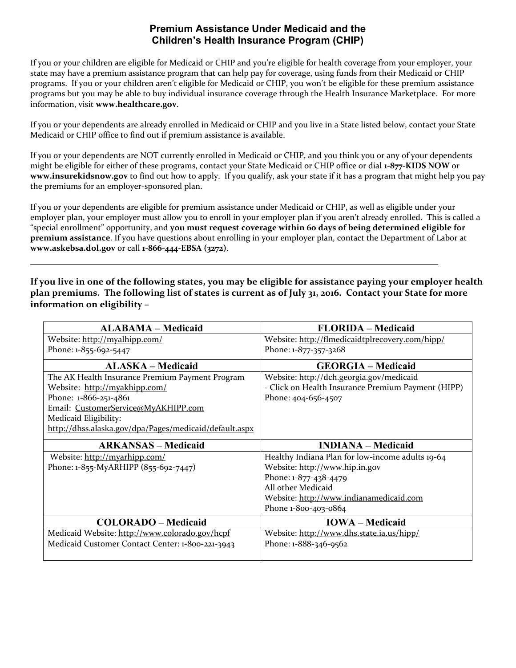## **Premium Assistance Under Medicaid and the Children's Health Insurance Program (CHIP)**

If you or your children are eligible for Medicaid or CHIP and you're eligible for health coverage from your employer, your state may have a premium assistance program that can help pay for coverage, using funds from their Medicaid or CHIP programs. If you or your children aren't eligible for Medicaid or CHIP, you won't be eligible for these premium assistance programs but you may be able to buy individual insurance coverage through the Health Insurance Marketplace. For more information, visit **www.healthcare.gov**.

If you or your dependents are already enrolled in Medicaid or CHIP and you live in a State listed below, contact your State Medicaid or CHIP office to find out if premium assistance is available.

If you or your dependents are NOT currently enrolled in Medicaid or CHIP, and you think you or any of your dependents might be eligible for either of these programs, contact your State Medicaid or CHIP office or dial **1‐877‐KIDS NOW** or **www.insurekidsnow.gov** to find out how to apply. If you qualify, ask your state if it has a program that might help you pay the premiums for an employer‐sponsored plan.

If you or your dependents are eligible for premium assistance under Medicaid or CHIP, as well as eligible under your employer plan, your employer must allow you to enroll in your employer plan if you aren't already enrolled. This is called a "special enrollment" opportunity, and **you must request coverage within 60 days of being determined eligible for premium assistance**. If you have questions about enrolling in your employer plan, contact the Department of Labor at **www.askebsa.dol.gov** or call **1‐866‐444‐EBSA (3272)**.

If you live in one of the following states, you may be eligible for assistance paying your employer health plan premiums. The following list of states is current as of July 31, 2016. Contact your State for more **information on eligibility –**

| <b>ALABAMA – Medicaid</b>                              | <b>FLORIDA</b> – Medicaid                          |
|--------------------------------------------------------|----------------------------------------------------|
| Website: http://myalhipp.com/                          | Website: http://flmedicaidtplrecovery.com/hipp/    |
| Phone: 1-855-692-5447                                  | Phone: 1-877-357-3268                              |
| <b>ALASKA</b> – Medicaid                               | <b>GEORGIA - Medicaid</b>                          |
| The AK Health Insurance Premium Payment Program        | Website: http://dch.georgia.gov/medicaid           |
| Website: http://myakhipp.com/                          | - Click on Health Insurance Premium Payment (HIPP) |
| Phone: 1-866-251-4861                                  | Phone: 404-656-4507                                |
| Email: CustomerService@MyAKHIPP.com                    |                                                    |
| Medicaid Eligibility:                                  |                                                    |
| http://dhss.alaska.gov/dpa/Pages/medicaid/default.aspx |                                                    |
|                                                        |                                                    |
| <b>ARKANSAS – Medicaid</b>                             | <b>INDIANA</b> – Medicaid                          |
| Website: http://myarhipp.com/                          | Healthy Indiana Plan for low-income adults 19-64   |
| Phone: 1-855-MyARHIPP (855-692-7447)                   | Website: http://www.hip.in.gov                     |
|                                                        | Phone: 1-877-438-4479                              |
|                                                        | All other Medicaid                                 |
|                                                        | Website: http://www.indianamedicaid.com            |
|                                                        | Phone 1-800-403-0864                               |
| <b>COLORADO - Medicaid</b>                             | <b>IOWA</b> – Medicaid                             |
| Medicaid Website: http://www.colorado.gov/hcpf         | Website: http://www.dhs.state.ia.us/hipp/          |
| Medicaid Customer Contact Center: 1-800-221-3943       | Phone: 1-888-346-9562                              |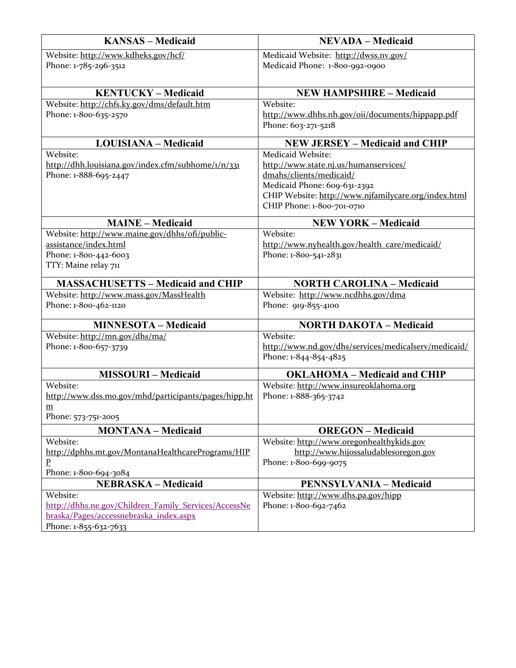| <b>KANSAS - Medicaid</b>                                                     | <b>NEVADA - Medicaid</b>                                                           |
|------------------------------------------------------------------------------|------------------------------------------------------------------------------------|
| Website: http://www.kdheks.gov/hcf/<br>Phone: 1-785-296-3512                 | Medicaid Website: http://dwss.nv.gov/<br>Medicaid Phone: 1-800-992-0900            |
| <b>KENTUCKY - Medicaid</b>                                                   | <b>NEW HAMPSHIRE - Medicaid</b>                                                    |
| Website: http://chfs.ky.gov/dms/default.htm                                  | Website:                                                                           |
| Phone: 1-800-635-2570                                                        | http://www.dhhs.nh.gov/oii/documents/hippapp.pdf<br>Phone: 603-271-5218            |
| <b>LOUISIANA - Medicaid</b>                                                  | <b>NEW JERSEY - Medicaid and CHIP</b>                                              |
| Website:                                                                     | Medicaid Website:                                                                  |
| http://dhh.louisiana.gov/index.cfm/subhome/1/n/331                           | http://www.state.nj.us/humanservices/                                              |
| Phone: 1-888-695-2447                                                        | dmahs/clients/medicaid/                                                            |
|                                                                              | Medicaid Phone: 609-631-2392                                                       |
|                                                                              | CHIP Website: http://www.njfamilycare.org/index.html<br>CHIP Phone: 1-800-701-0710 |
|                                                                              |                                                                                    |
| <b>MAINE - Medicaid</b>                                                      | <b>NEW YORK - Medicaid</b><br>Website:                                             |
| Website: http://www.maine.gov/dhhs/ofi/public-<br>assistance/index.html      | http://www.nyhealth.gov/health_care/medicaid/                                      |
| Phone: 1-800-442-6003                                                        | Phone: 1-800-541-2831                                                              |
| TTY: Maine relay 711                                                         |                                                                                    |
|                                                                              |                                                                                    |
| <b>MASSACHUSETTS - Medicaid and CHIP</b>                                     | <b>NORTH CAROLINA - Medicaid</b>                                                   |
| Website: http://www.mass.gov/MassHealth                                      | Website: http://www.ncdhhs.gov/dma                                                 |
| Phone: 1-800-462-1120                                                        | Phone: 919-855-4100                                                                |
| <b>MINNESOTA - Medicaid</b>                                                  | <b>NORTH DAKOTA - Medicaid</b>                                                     |
| Website: http://mn.gov/dhs/ma/                                               | Website:                                                                           |
| Phone: 1-800-657-3739                                                        | http://www.nd.gov/dhs/services/medicalserv/medicaid/                               |
|                                                                              | Phone: 1-844-854-4825                                                              |
| <b>MISSOURI-Medicaid</b>                                                     | <b>OKLAHOMA - Medicaid and CHIP</b>                                                |
| Website:                                                                     | Website: http://www.insureoklahoma.org                                             |
| http://www.dss.mo.gov/mhd/participants/pages/hipp.ht                         | Phone: 1-888-365-3742                                                              |
| $\underline{m}$                                                              |                                                                                    |
| Phone: 573-751-2005                                                          |                                                                                    |
| <b>MONTANA - Medicaid</b>                                                    | <b>OREGON</b> – Medicaid                                                           |
| Website:                                                                     | Website: http://www.oregonhealthykids.gov                                          |
| http://dphhs.mt.gov/MontanaHealthcarePrograms/HIP<br>$\overline{\mathbf{P}}$ | http://www.hijossaludablesoregon.gov<br>Phone: 1-800-699-9075                      |
| Phone: 1-800-694-3084                                                        |                                                                                    |
| <b>NEBRASKA - Medicaid</b>                                                   | <b>PENNSYLVANIA - Medicaid</b>                                                     |
| Website:                                                                     | Website: http://www.dhs.pa.gov/hipp                                                |
| http://dhhs.ne.gov/Children Family Services/AccessNe                         | Phone: 1-800-692-7462                                                              |
| braska/Pages/accessnebraska index.aspx                                       |                                                                                    |
| Phone: 1-855-632-7633                                                        |                                                                                    |